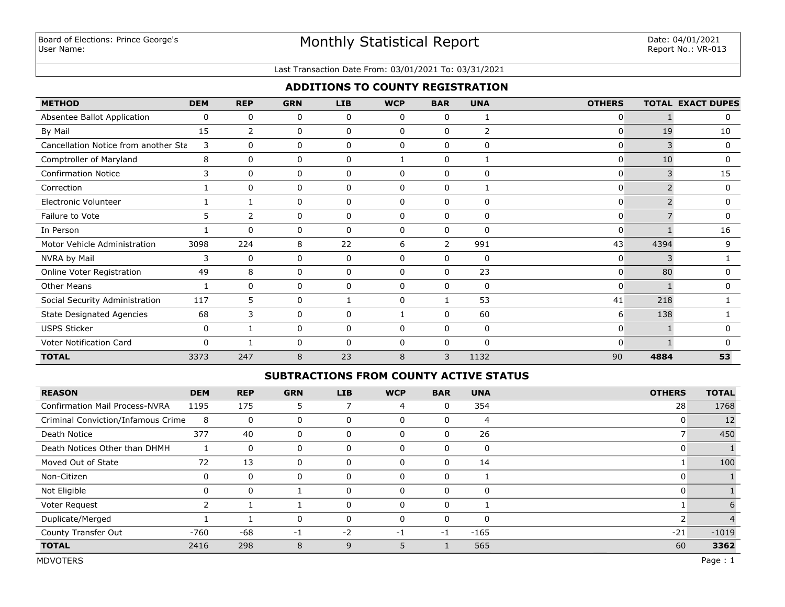# Monthly Statistical Report

#### Last Transaction Date From: 03/01/2021 To: 03/31/2021

## **ADDITIONS TO COUNTY REGISTRATION**

| <b>METHOD</b>                        | <b>DEM</b> | <b>REP</b>     | <b>GRN</b> | <b>LIB</b>   | <b>WCP</b>   | <b>BAR</b>   | <b>UNA</b>  | <b>OTHERS</b> |      | <b>TOTAL EXACT DUPES</b> |
|--------------------------------------|------------|----------------|------------|--------------|--------------|--------------|-------------|---------------|------|--------------------------|
| Absentee Ballot Application          | 0          | $\mathbf{0}$   | 0          | $\mathbf{0}$ | $\mathbf{0}$ | $\mathbf{0}$ |             | 0             |      | 0                        |
| By Mail                              | 15         | $\overline{2}$ | 0          | 0            | 0            | 0            | 2           | 0             | 19   | 10                       |
| Cancellation Notice from another Sta | 3          | $\mathbf{0}$   | 0          | 0            | 0            | $\mathbf 0$  | $\mathbf 0$ | 0             | 3    | 0                        |
| Comptroller of Maryland              | 8          | $\mathbf{0}$   | 0          | 0            |              | 0            |             | 0             | 10   | 0                        |
| <b>Confirmation Notice</b>           | 3          | $\mathbf{0}$   | 0          | 0            | 0            | $\mathbf{0}$ | $\mathbf 0$ | 0             | 3    | 15                       |
| Correction                           |            | $\Omega$       | 0          | 0            | 0            | 0            |             | 0             |      | 0                        |
| Electronic Volunteer                 |            |                | 0          | 0            | 0            | $\Omega$     | 0           | 0             |      | 0                        |
| Failure to Vote                      | 5          | $\overline{2}$ | 0          | 0            | 0            | $\mathbf{0}$ | 0           | 0             |      |                          |
| In Person                            |            | $\mathbf{0}$   | 0          | $\mathbf{0}$ | $\mathbf{0}$ | 0            | 0           | 0             |      | 16                       |
| Motor Vehicle Administration         | 3098       | 224            | 8          | 22           | 6            | 2            | 991         | 43            | 4394 | 9                        |
| NVRA by Mail                         | 3          | 0              | 0          | 0            | $\mathbf{0}$ | 0            | 0           | 0             | 3    |                          |
| Online Voter Registration            | 49         | 8              | 0          | 0            | $\mathbf{0}$ | $\mathbf{0}$ | 23          | $\Omega$      | 80   | 0                        |
| <b>Other Means</b>                   |            | $\mathbf{0}$   | 0          | 0            | $\mathbf{0}$ | $\Omega$     | 0           | 0             |      | 0                        |
| Social Security Administration       | 117        | 5              | 0          |              | 0            |              | 53          | 41            | 218  |                          |
| <b>State Designated Agencies</b>     | 68         | 3              | 0          | 0            |              | $\Omega$     | 60          | 6             | 138  |                          |
| <b>USPS Sticker</b>                  | 0          |                | 0          | 0            | $\mathbf{0}$ | $\mathbf{0}$ | 0           | 0             |      |                          |
| Voter Notification Card              | $\Omega$   |                | 0          | $\Omega$     | $\mathbf{0}$ | $\Omega$     | $\Omega$    | 0             |      |                          |
| <b>TOTAL</b>                         | 3373       | 247            | 8          | 23           | 8            | 3            | 1132        | 90            | 4884 | 53                       |

### **SUBTRACTIONS FROM COUNTY ACTIVE STATUS**

| <b>REASON</b>                         | <b>DEM</b> | <b>REP</b>   | <b>GRN</b> | LIB      | <b>WCP</b> | <b>BAR</b> | <b>UNA</b> | <b>OTHERS</b> | <b>TOTAL</b> |
|---------------------------------------|------------|--------------|------------|----------|------------|------------|------------|---------------|--------------|
| <b>Confirmation Mail Process-NVRA</b> | 1195       | 175          |            |          | 4          | 0          | 354        | 28            | 1768         |
| Criminal Conviction/Infamous Crime    | 8          | 0            | 0          | 0        | 0          | 0          | 4          | 0             | 12           |
| Death Notice                          | 377        | 40           | 0          | 0        | 0          | 0          | 26         |               | 450          |
| Death Notices Other than DHMH         |            | 0            | 0          | 0        | 0          | 0          | 0          |               |              |
| Moved Out of State                    | 72         | 13           | 0          | 0        | $\Omega$   | 0          | 14         |               | 100          |
| Non-Citizen                           | 0          | $\mathbf 0$  | 0          | 0        | 0          | 0          |            |               |              |
| Not Eligible                          | 0          | $\mathbf{0}$ |            |          | 0          | O          | $\Omega$   |               |              |
| Voter Request                         |            |              |            | 0        | $\Omega$   | 0          |            |               |              |
| Duplicate/Merged                      |            |              | $\Omega$   | $\Omega$ | $\Omega$   | 0          | $\Omega$   |               |              |
| County Transfer Out                   | $-760$     | -68          | -1         | $-2$     | $-1$       | -1         | $-165$     | $-21$         | $-1019$      |
| <b>TOTAL</b>                          | 2416       | 298          | 8          | q        |            |            | 565        | 60            | 3362         |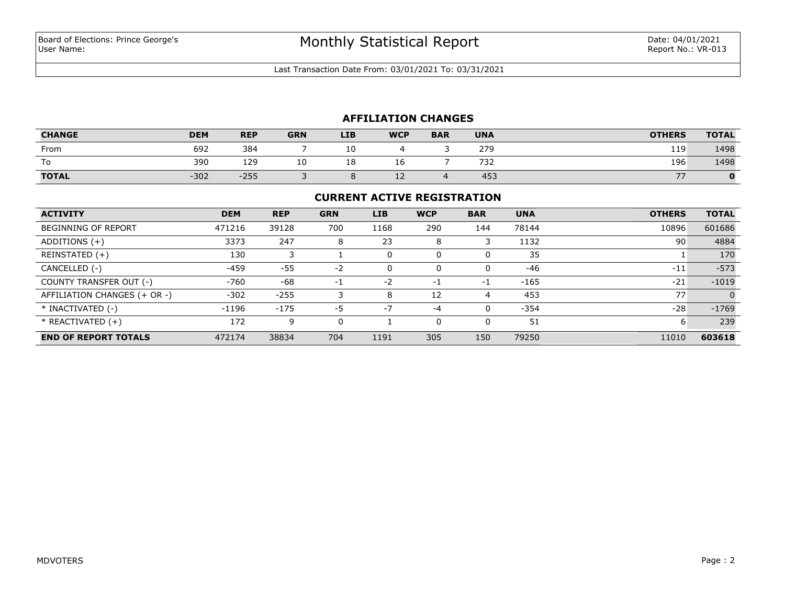Last Transaction Date From: 03/01/2021 To: 03/31/2021

## **AFFILIATION CHANGES**

| <b>CHANGE</b> | <b>DEM</b> | <b>REP</b> | <b>GRN</b> | <b>LIB</b> | <b>WCP</b> | <b>BAR</b> | <b>UNA</b> | <b>OTHERS</b> | <b>TOTAL</b> |
|---------------|------------|------------|------------|------------|------------|------------|------------|---------------|--------------|
| From          | 692        | 384        |            | 10         |            |            | 279        | 119           | 1498         |
| To            | 390        | 129        | τn         | 18         | TС         |            | 732        | 196           | 1498         |
| <b>TOTAL</b>  | $-302$     | $-255$     |            |            | <u>_ _</u> |            | 453        | --            |              |

#### **CURRENT ACTIVE REGISTRATION**

| <b>ACTIVITY</b>              | <b>DEM</b> | <b>REP</b> | <b>GRN</b> | <b>LIB</b> | <b>WCP</b> | <b>BAR</b> | <b>UNA</b> | <b>OTHERS</b> | <b>TOTAL</b> |
|------------------------------|------------|------------|------------|------------|------------|------------|------------|---------------|--------------|
| <b>BEGINNING OF REPORT</b>   | 471216     | 39128      | 700        | 1168       | 290        | 144        | 78144      | 10896         | 601686       |
| ADDITIONS $(+)$              | 3373       | 247        | 8          | 23         | 8          | 3          | 1132       | 90            | 4884         |
| REINSTATED (+)               | 130        |            |            |            | 0          | 0          | 35         |               | 170          |
| CANCELLED (-)                | -459       | $-55$      | $-2$       |            | $\Omega$   | 0          | -46        | $-11$         | $-573$       |
| COUNTY TRANSFER OUT (-)      | $-760$     | -68        | $-1$       | $-2$       | $-1$       | -1         | $-165$     | $-21$         | $-1019$      |
| AFFILIATION CHANGES (+ OR -) | $-302$     | $-255$     |            | 8          | 12         | 4          | 453        | 77            | $\Omega$     |
| * INACTIVATED (-)            | $-1196$    | $-175$     | -5         | $-7$       | $-4$       | 0          | $-354$     | $-28$         | $-1769$      |
| $*$ REACTIVATED $(+)$        | 172        | 9          | 0          |            | 0          | 0          | 51         | ь             | 239          |
| <b>END OF REPORT TOTALS</b>  | 472174     | 38834      | 704        | 1191       | 305        | 150        | 79250      | 11010         | 603618       |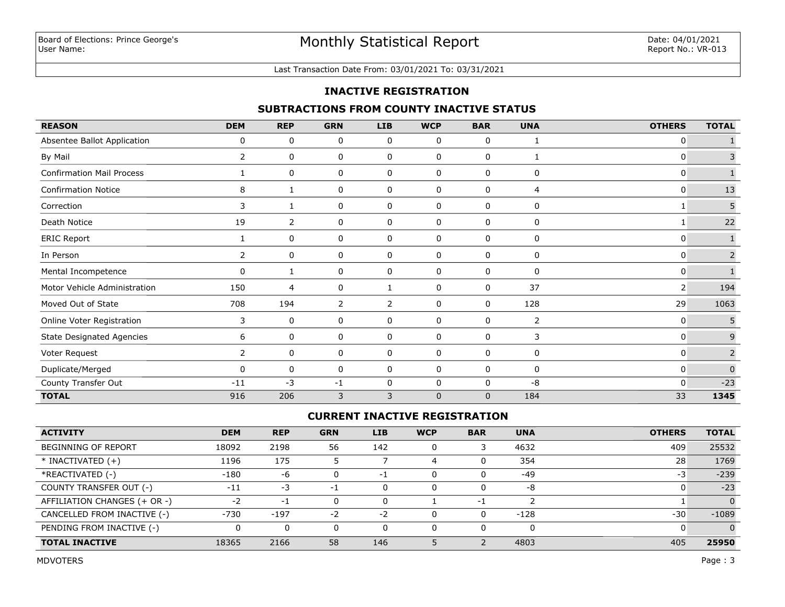#### Last Transaction Date From: 03/01/2021 To: 03/31/2021

## **INACTIVE REGISTRATION**

## **SUBTRACTIONS FROM COUNTY INACTIVE STATUS**

| <b>REASON</b>                    | <b>DEM</b>     | <b>REP</b> | <b>GRN</b> | <b>LIB</b>     | <b>WCP</b>  | <b>BAR</b>     | <b>UNA</b> | <b>OTHERS</b> | <b>TOTAL</b>   |
|----------------------------------|----------------|------------|------------|----------------|-------------|----------------|------------|---------------|----------------|
| Absentee Ballot Application      | 0              | 0          | 0          | 0              | 0           | 0              |            | 0             |                |
| By Mail                          | 2              | 0          | 0          | 0              | 0           | 0              |            | 0             | 3              |
| <b>Confirmation Mail Process</b> | 1              | 0          | 0          | 0              | 0           | 0              | 0          | 0             | $\mathbf{1}$   |
| <b>Confirmation Notice</b>       | 8              | 1          | 0          | 0              | 0           | 0              | 4          | 0             | 13             |
| Correction                       | 3              | 1          | 0          | 0              | 0           | 0              | 0          | 1             | 5              |
| Death Notice                     | 19             | 2          | 0          | 0              | 0           | 0              | 0          |               | 22             |
| <b>ERIC Report</b>               | 1              | 0          | 0          | 0              | 0           | 0              | 0          | 0             | $\mathbf{1}$   |
| In Person                        | $\overline{2}$ | 0          | 0          | 0              | 0           | 0              | 0          | 0             | $\overline{2}$ |
| Mental Incompetence              | 0              |            | 0          | 0              | 0           | 0              | 0          | 0             |                |
| Motor Vehicle Administration     | 150            | 4          | 0          | 1              | 0           | 0              | 37         | 2             | 194            |
| Moved Out of State               | 708            | 194        | 2          | $\overline{2}$ | 0           | 0              | 128        | 29            | 1063           |
| Online Voter Registration        | 3              | 0          | 0          | 0              | 0           | 0              | 2          | 0             | 5              |
| <b>State Designated Agencies</b> | 6              | 0          | 0          | $\mathbf 0$    | 0           | 0              | 3          | 0             | $\overline{9}$ |
| Voter Request                    | $\overline{2}$ | 0          | 0          | 0              | 0           | 0              | 0          | 0             | $\overline{2}$ |
| Duplicate/Merged                 | 0              | 0          | 0          | 0              | 0           | 0              | 0          | 0             | $\pmb{0}$      |
| County Transfer Out              | $-11$          | $-3$       | $-1$       | 0              | 0           | 0              | $-8$       | 0             | $-23$          |
| <b>TOTAL</b>                     | 916            | 206        | 3          | 3              | $\mathbf 0$ | $\overline{0}$ | 184        | 33            | 1345           |

## **CURRENT INACTIVE REGISTRATION**

| <b>ACTIVITY</b>              | <b>DEM</b> | <b>REP</b> | <b>GRN</b> | LIB  | <b>WCP</b> | <b>BAR</b> | <b>UNA</b> | <b>OTHERS</b> | <b>TOTAL</b> |
|------------------------------|------------|------------|------------|------|------------|------------|------------|---------------|--------------|
| BEGINNING OF REPORT          | 18092      | 2198       | 56         | 142  | 0          |            | 4632       | 409           | 25532        |
| $*$ INACTIVATED $(+)$        | 1196       | 175        |            |      |            |            | 354        | 28            | 1769         |
| *REACTIVATED (-)             | $-180$     | -6         | 0          | $-1$ | 0          |            | $-49$      | -3            | $-239$       |
| COUNTY TRANSFER OUT (-)      | $-11$      | -3         | $-1$       |      | 0          |            | -8         |               | $-23$        |
| AFFILIATION CHANGES (+ OR -) | $-2$       | $-1$       |            |      |            | - 1        |            |               |              |
| CANCELLED FROM INACTIVE (-)  | $-730$     | $-197$     | $-2$       | $-2$ | 0          |            | $-128$     | $-30$         | $-1089$      |
| PENDING FROM INACTIVE (-)    |            |            | $\Omega$   |      | 0          |            | 0          |               |              |
| <b>TOTAL INACTIVE</b>        | 18365      | 2166       | 58         | 146  |            |            | 4803       | 405           | 25950        |